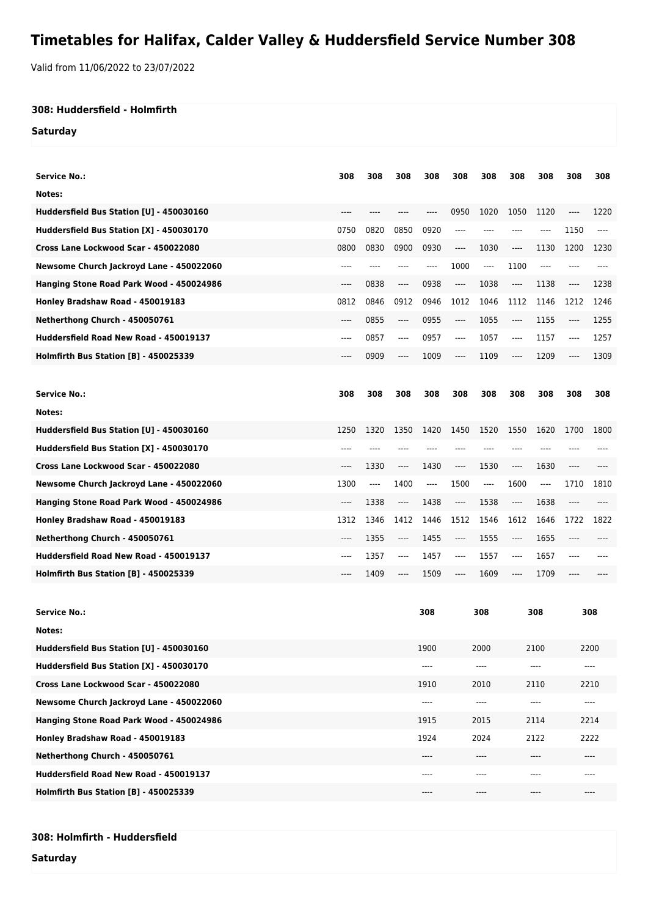## **Timetables for Halifax, Calder Valley & Huddersfield Service Number 308**

Valid from 11/06/2022 to 23/07/2022

## **308: Huddersfield - Holmfirth**

## **Saturday**

| <b>Service No.:</b>                      | 308   | 308      | 308      | 308   | 308      | 308      | 308                           | 308     | 308  | 308   |
|------------------------------------------|-------|----------|----------|-------|----------|----------|-------------------------------|---------|------|-------|
| Notes:                                   |       |          |          |       |          |          |                               |         |      |       |
| Huddersfield Bus Station [U] - 450030160 | ----  |          |          |       | 0950     | 1020     | 1050                          | 1120    | ---- | 1220  |
| Huddersfield Bus Station [X] - 450030170 | 0750  | 0820     | 0850     | 0920  | $---$    | ----     |                               | ----    | 1150 | $---$ |
| Cross Lane Lockwood Scar - 450022080     | 0800  | 0830     | 0900     | 0930  | ----     | 1030     | ----                          | 1130    | 1200 | 1230  |
| Newsome Church Jackroyd Lane - 450022060 | ----  |          |          | ----  | 1000     | $\cdots$ | 1100                          | $-----$ |      |       |
| Hanging Stone Road Park Wood - 450024986 | $---$ | 0838     | $\cdots$ | 0938  | $\cdots$ | 1038     | $---$                         | 1138    | ---- | 1238  |
| Honley Bradshaw Road - 450019183         | 0812  | 0846     | 0912     | 0946  | 1012     | 1046     | 1112                          | 1146    | 1212 | 1246  |
| Netherthong Church - 450050761           | ----  | 0855     | ----     | 0955  | $\cdots$ | 1055     | $---$                         | 1155    | ---- | 1255  |
| Huddersfield Road New Road - 450019137   | ----  | 0857     | ----     | 0957  | $---$    | 1057     | $---$                         | 1157    | ---- | 1257  |
| Holmfirth Bus Station [B] - 450025339    | ----  | 0909     | ----     | 1009  | ----     | 1109     | $---$                         | 1209    |      | 1309  |
|                                          |       |          |          |       |          |          |                               |         |      |       |
|                                          |       |          |          |       |          |          |                               |         |      |       |
| <b>Service No.:</b>                      | 308   | 308      | 308      | 308   | 308      | 308      | 308                           | 308     | 308  | 308   |
| Notes:                                   |       |          |          |       |          |          |                               |         |      |       |
| Huddersfield Bus Station [U] - 450030160 | 1250  | 1320     | 1350     | 1420  | 1450     | 1520     | 1550                          | 1620    | 1700 | 1800  |
| Huddersfield Bus Station [X] - 450030170 | ----  |          |          |       |          |          |                               |         |      |       |
| Cross Lane Lockwood Scar - 450022080     | ----  | 1330     | ----     | 1430  | $\cdots$ | 1530     | $---$                         | 1630    | ---- |       |
| Newsome Church Jackroyd Lane - 450022060 | 1300  | $\cdots$ | 1400     | $---$ | 1500     | $\cdots$ | 1600                          | $---$   | 1710 | 1810  |
| Hanging Stone Road Park Wood - 450024986 | ----  | 1338     | ----     | 1438  | $\cdots$ | 1538     | $---$                         | 1638    | ---- | ----  |
| Honley Bradshaw Road - 450019183         | 1312  | 1346     | 1412     | 1446  | 1512     | 1546     | 1612                          | 1646    | 1722 | 1822  |
| Netherthong Church - 450050761           | ----  | 1355     | ----     | 1455  | $\cdots$ | 1555     | $\hspace{1.5cm} \textbf{---}$ | 1655    | ---- |       |
| Huddersfield Road New Road - 450019137   | ----  | 1357     | ----     | 1457  | ----     | 1557     | $---$                         | 1657    | ---- |       |
| Holmfirth Bus Station [B] - 450025339    | ----  | 1409     | ----     | 1509  | $\cdots$ | 1609     | $---$                         | 1709    | ---- |       |

| <b>Service No.:</b>                      | 308   | 308     | 308   | 308  |
|------------------------------------------|-------|---------|-------|------|
| Notes:                                   |       |         |       |      |
| Huddersfield Bus Station [U] - 450030160 | 1900  | 2000    | 2100  | 2200 |
| Huddersfield Bus Station [X] - 450030170 | ----  | $--- -$ | $---$ | ---- |
| Cross Lane Lockwood Scar - 450022080     | 1910  | 2010    | 2110  | 2210 |
| Newsome Church Jackroyd Lane - 450022060 | $---$ | $--- -$ | $---$ | ---- |
| Hanging Stone Road Park Wood - 450024986 | 1915  | 2015    | 2114  | 2214 |
| Honley Bradshaw Road - 450019183         | 1924  | 2024    | 2122  | 2222 |
| Netherthong Church - 450050761           | $---$ | $---$   | $---$ | ---- |
| Huddersfield Road New Road - 450019137   | $---$ | ----    | $---$ | ---- |
| Holmfirth Bus Station [B] - 450025339    | $---$ | $---$   | $---$ | ---- |

**Saturday**